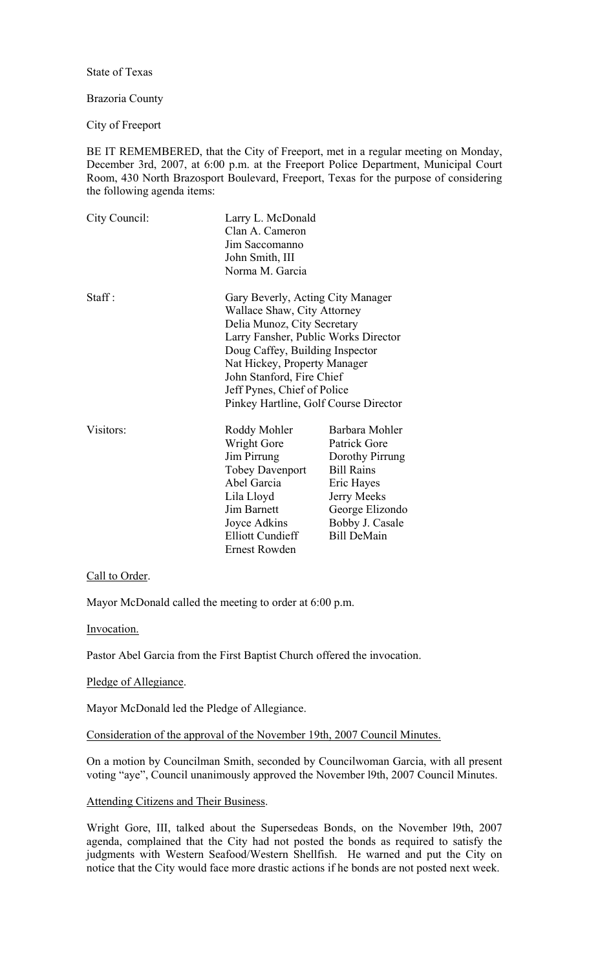State of Texas

## Brazoria County

City of Freeport

BE IT REMEMBERED, that the City of Freeport, met in a regular meeting on Monday, December 3rd, 2007, at 6:00 p.m. at the Freeport Police Department, Municipal Court Room, 430 North Brazosport Boulevard, Freeport, Texas for the purpose of considering the following agenda items:

| City Council: | Larry L. McDonald<br>Clan A. Cameron<br>Jim Saccomanno<br>John Smith, III<br>Norma M. Garcia                                                                                                                                                                                                                    |                                                                                                                                                                 |
|---------------|-----------------------------------------------------------------------------------------------------------------------------------------------------------------------------------------------------------------------------------------------------------------------------------------------------------------|-----------------------------------------------------------------------------------------------------------------------------------------------------------------|
| Staff:        | Gary Beverly, Acting City Manager<br>Wallace Shaw, City Attorney<br>Delia Munoz, City Secretary<br>Larry Fansher, Public Works Director<br>Doug Caffey, Building Inspector<br>Nat Hickey, Property Manager<br>John Stanford, Fire Chief<br>Jeff Pynes, Chief of Police<br>Pinkey Hartline, Golf Course Director |                                                                                                                                                                 |
| Visitors:     | Roddy Mohler<br>Wright Gore<br>Jim Pirrung<br><b>Tobey Davenport</b><br>Abel Garcia<br>Lila Lloyd<br><b>Jim Barnett</b><br>Joyce Adkins<br><b>Elliott Cundieff</b><br>Ernest Rowden                                                                                                                             | Barbara Mohler<br>Patrick Gore<br>Dorothy Pirrung<br><b>Bill Rains</b><br>Eric Hayes<br>Jerry Meeks<br>George Elizondo<br>Bobby J. Casale<br><b>Bill DeMain</b> |

Call to Order.

Mayor McDonald called the meeting to order at 6:00 p.m.

Invocation.

Pastor Abel Garcia from the First Baptist Church offered the invocation.

### Pledge of Allegiance.

Mayor McDonald led the Pledge of Allegiance.

Consideration of the approval of the November 19th, 2007 Council Minutes.

On a motion by Councilman Smith, seconded by Councilwoman Garcia, with all present voting "aye", Council unanimously approved the November l9th, 2007 Council Minutes.

### Attending Citizens and Their Business.

Wright Gore, III, talked about the Supersedeas Bonds, on the November l9th, 2007 agenda, complained that the City had not posted the bonds as required to satisfy the judgments with Western Seafood/Western Shellfish. He warned and put the City on notice that the City would face more drastic actions if he bonds are not posted next week.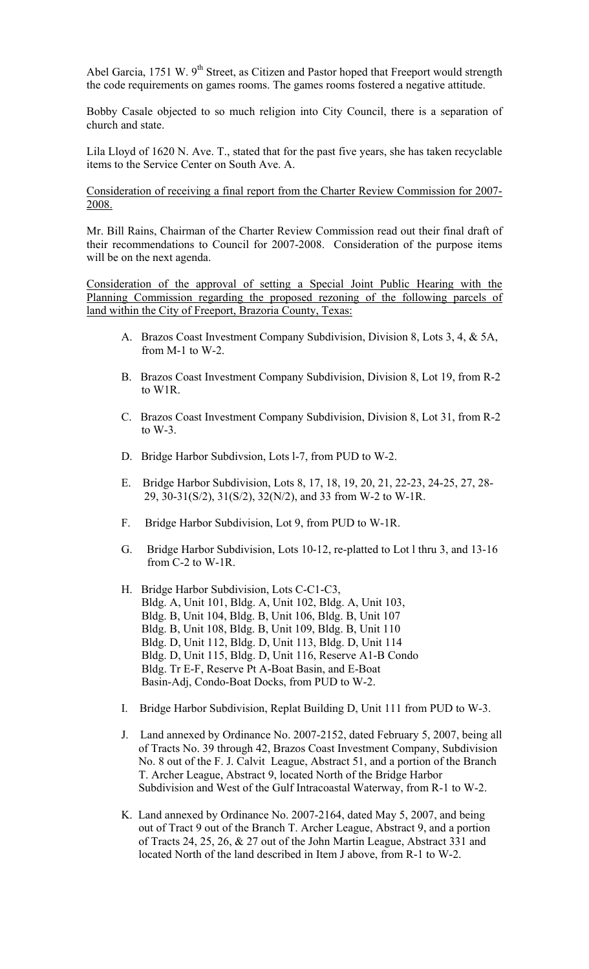Abel Garcia, 1751 W.  $9<sup>th</sup>$  Street, as Citizen and Pastor hoped that Freeport would strength the code requirements on games rooms. The games rooms fostered a negative attitude.

Bobby Casale objected to so much religion into City Council, there is a separation of church and state.

Lila Lloyd of 1620 N. Ave. T., stated that for the past five years, she has taken recyclable items to the Service Center on South Ave. A.

Consideration of receiving a final report from the Charter Review Commission for 2007- 2008.

Mr. Bill Rains, Chairman of the Charter Review Commission read out their final draft of their recommendations to Council for 2007-2008. Consideration of the purpose items will be on the next agenda.

Consideration of the approval of setting a Special Joint Public Hearing with the Planning Commission regarding the proposed rezoning of the following parcels of land within the City of Freeport, Brazoria County, Texas:

- A. Brazos Coast Investment Company Subdivision, Division 8, Lots 3, 4, & 5A, from M-1 to W-2.
- B. Brazos Coast Investment Company Subdivision, Division 8, Lot 19, from R-2 to W1R.
- C. Brazos Coast Investment Company Subdivision, Division 8, Lot 31, from R-2 to W-3.
- D. Bridge Harbor Subdivsion, Lots l-7, from PUD to W-2.
- E. Bridge Harbor Subdivision, Lots 8, 17, 18, 19, 20, 21, 22-23, 24-25, 27, 28- 29, 30-31(S/2), 31(S/2), 32(N/2), and 33 from W-2 to W-1R.
- F. Bridge Harbor Subdivision, Lot 9, from PUD to W-1R.
- G. Bridge Harbor Subdivision, Lots 10-12, re-platted to Lot l thru 3, and 13-16 from C-2 to W-1R.
- H. Bridge Harbor Subdivision, Lots C-C1-C3, Bldg. A, Unit 101, Bldg. A, Unit 102, Bldg. A, Unit 103, Bldg. B, Unit 104, Bldg. B, Unit 106, Bldg. B, Unit 107 Bldg. B, Unit 108, Bldg. B, Unit 109, Bldg. B, Unit 110 Bldg. D, Unit 112, Bldg. D, Unit 113, Bldg. D, Unit 114 Bldg. D, Unit 115, Bldg. D, Unit 116, Reserve A1-B Condo Bldg. Tr E-F, Reserve Pt A-Boat Basin, and E-Boat Basin-Adj, Condo-Boat Docks, from PUD to W-2.
- I. Bridge Harbor Subdivision, Replat Building D, Unit 111 from PUD to W-3.
- J. Land annexed by Ordinance No. 2007-2152, dated February 5, 2007, being all of Tracts No. 39 through 42, Brazos Coast Investment Company, Subdivision No. 8 out of the F. J. Calvit League, Abstract 51, and a portion of the Branch T. Archer League, Abstract 9, located North of the Bridge Harbor Subdivision and West of the Gulf Intracoastal Waterway, from R-1 to W-2.
- K. Land annexed by Ordinance No. 2007-2164, dated May 5, 2007, and being out of Tract 9 out of the Branch T. Archer League, Abstract 9, and a portion of Tracts 24, 25, 26, & 27 out of the John Martin League, Abstract 331 and located North of the land described in Item J above, from R-1 to W-2.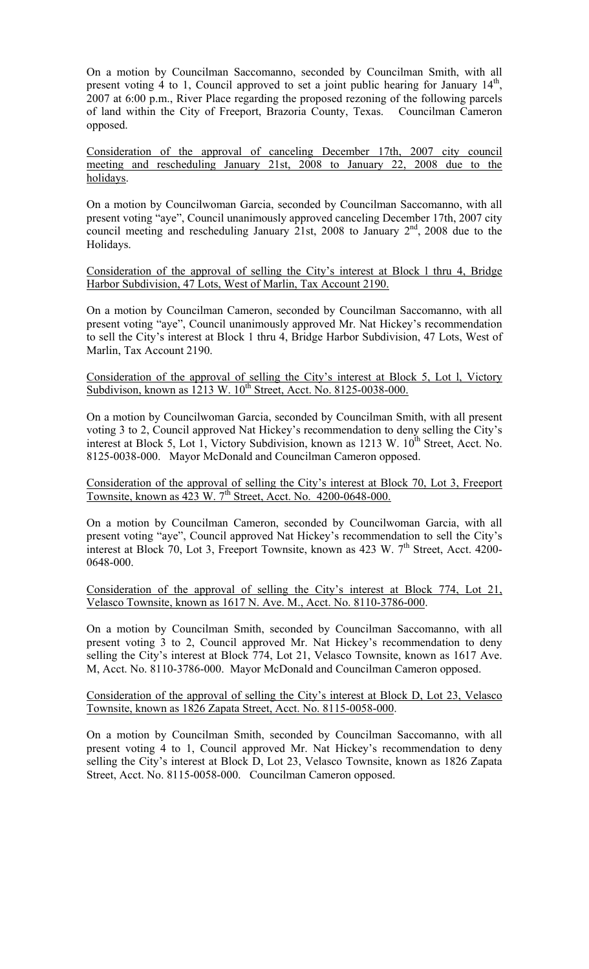On a motion by Councilman Saccomanno, seconded by Councilman Smith, with all present voting 4 to 1, Council approved to set a joint public hearing for January  $14<sup>th</sup>$ , 2007 at 6:00 p.m., River Place regarding the proposed rezoning of the following parcels of land within the City of Freeport, Brazoria County, Texas. Councilman Cameron opposed.

Consideration of the approval of canceling December 17th, 2007 city council meeting and rescheduling January 21st, 2008 to January 22, 2008 due to the holidays.

On a motion by Councilwoman Garcia, seconded by Councilman Saccomanno, with all present voting "aye", Council unanimously approved canceling December 17th, 2007 city council meeting and rescheduling January 21st, 2008 to January 2<sup>nd</sup>, 2008 due to the Holidays.

Consideration of the approval of selling the City's interest at Block l thru 4, Bridge Harbor Subdivision, 47 Lots, West of Marlin, Tax Account 2190.

On a motion by Councilman Cameron, seconded by Councilman Saccomanno, with all present voting "aye", Council unanimously approved Mr. Nat Hickey's recommendation to sell the City's interest at Block 1 thru 4, Bridge Harbor Subdivision, 47 Lots, West of Marlin, Tax Account 2190.

Consideration of the approval of selling the City's interest at Block 5, Lot l, Victory Subdivison, known as  $1213 \text{ W}$ .  $10^{\text{th}}$  Street, Acct. No. 8125-0038-000.

On a motion by Councilwoman Garcia, seconded by Councilman Smith, with all present voting 3 to 2, Council approved Nat Hickey's recommendation to deny selling the City's interest at Block 5, Lot 1, Victory Subdivision, known as  $1213 \text{ W}$ .  $10^{\text{th}}$  Street, Acct. No. 8125-0038-000. Mayor McDonald and Councilman Cameron opposed.

Consideration of the approval of selling the City's interest at Block 70, Lot 3, Freeport Townsite, known as 423 W. 7<sup>th</sup> Street, Acct. No. 4200-0648-000.

On a motion by Councilman Cameron, seconded by Councilwoman Garcia, with all present voting "aye", Council approved Nat Hickey's recommendation to sell the City's interest at Block 70, Lot 3, Freeport Townsite, known as 423 W.  $7<sup>th</sup>$  Street, Acct. 4200-0648-000.

Consideration of the approval of selling the City's interest at Block 774, Lot 21, Velasco Townsite, known as 1617 N. Ave. M., Acct. No. 8110-3786-000.

On a motion by Councilman Smith, seconded by Councilman Saccomanno, with all present voting 3 to 2, Council approved Mr. Nat Hickey's recommendation to deny selling the City's interest at Block 774, Lot 21, Velasco Townsite, known as 1617 Ave. M, Acct. No. 8110-3786-000. Mayor McDonald and Councilman Cameron opposed.

Consideration of the approval of selling the City's interest at Block D, Lot 23, Velasco Townsite, known as 1826 Zapata Street, Acct. No. 8115-0058-000.

On a motion by Councilman Smith, seconded by Councilman Saccomanno, with all present voting 4 to 1, Council approved Mr. Nat Hickey's recommendation to deny selling the City's interest at Block D, Lot 23, Velasco Townsite, known as 1826 Zapata Street, Acct. No. 8115-0058-000. Councilman Cameron opposed.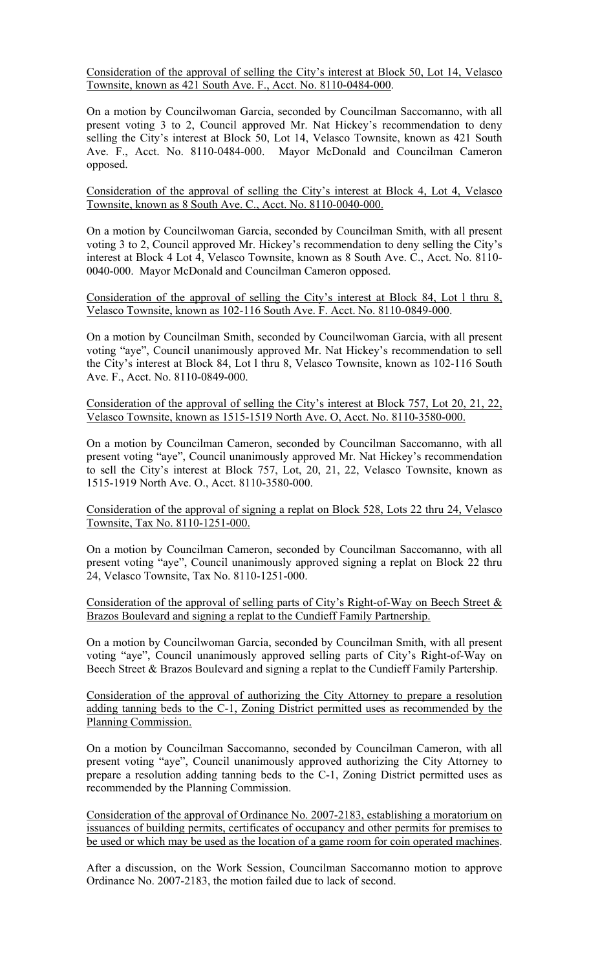Consideration of the approval of selling the City's interest at Block 50, Lot 14, Velasco Townsite, known as 421 South Ave. F., Acct. No. 8110-0484-000.

On a motion by Councilwoman Garcia, seconded by Councilman Saccomanno, with all present voting 3 to 2, Council approved Mr. Nat Hickey's recommendation to deny selling the City's interest at Block 50, Lot 14, Velasco Townsite, known as 421 South Ave. F., Acct. No. 8110-0484-000. Mayor McDonald and Councilman Cameron opposed.

Consideration of the approval of selling the City's interest at Block 4, Lot 4, Velasco Townsite, known as 8 South Ave. C., Acct. No. 8110-0040-000.

On a motion by Councilwoman Garcia, seconded by Councilman Smith, with all present voting 3 to 2, Council approved Mr. Hickey's recommendation to deny selling the City's interest at Block 4 Lot 4, Velasco Townsite, known as 8 South Ave. C., Acct. No. 8110- 0040-000. Mayor McDonald and Councilman Cameron opposed.

Consideration of the approval of selling the City's interest at Block 84, Lot l thru 8, Velasco Townsite, known as 102-116 South Ave. F. Acct. No. 8110-0849-000.

On a motion by Councilman Smith, seconded by Councilwoman Garcia, with all present voting "aye", Council unanimously approved Mr. Nat Hickey's recommendation to sell the City's interest at Block 84, Lot l thru 8, Velasco Townsite, known as 102-116 South Ave. F., Acct. No. 8110-0849-000.

## Consideration of the approval of selling the City's interest at Block 757, Lot 20, 21, 22, Velasco Townsite, known as 1515-1519 North Ave. O, Acct. No. 8110-3580-000.

On a motion by Councilman Cameron, seconded by Councilman Saccomanno, with all present voting "aye", Council unanimously approved Mr. Nat Hickey's recommendation to sell the City's interest at Block 757, Lot, 20, 21, 22, Velasco Townsite, known as 1515-1919 North Ave. O., Acct. 8110-3580-000.

Consideration of the approval of signing a replat on Block 528, Lots 22 thru 24, Velasco Townsite, Tax No. 8110-1251-000.

On a motion by Councilman Cameron, seconded by Councilman Saccomanno, with all present voting "aye", Council unanimously approved signing a replat on Block 22 thru 24, Velasco Townsite, Tax No. 8110-1251-000.

Consideration of the approval of selling parts of City's Right-of-Way on Beech Street  $\&$ Brazos Boulevard and signing a replat to the Cundieff Family Partnership.

On a motion by Councilwoman Garcia, seconded by Councilman Smith, with all present voting "aye", Council unanimously approved selling parts of City's Right-of-Way on Beech Street & Brazos Boulevard and signing a replat to the Cundieff Family Partership.

Consideration of the approval of authorizing the City Attorney to prepare a resolution adding tanning beds to the C-1, Zoning District permitted uses as recommended by the Planning Commission.

On a motion by Councilman Saccomanno, seconded by Councilman Cameron, with all present voting "aye", Council unanimously approved authorizing the City Attorney to prepare a resolution adding tanning beds to the C-1, Zoning District permitted uses as recommended by the Planning Commission.

Consideration of the approval of Ordinance No. 2007-2183, establishing a moratorium on issuances of building permits, certificates of occupancy and other permits for premises to be used or which may be used as the location of a game room for coin operated machines.

After a discussion, on the Work Session, Councilman Saccomanno motion to approve Ordinance No. 2007-2183, the motion failed due to lack of second.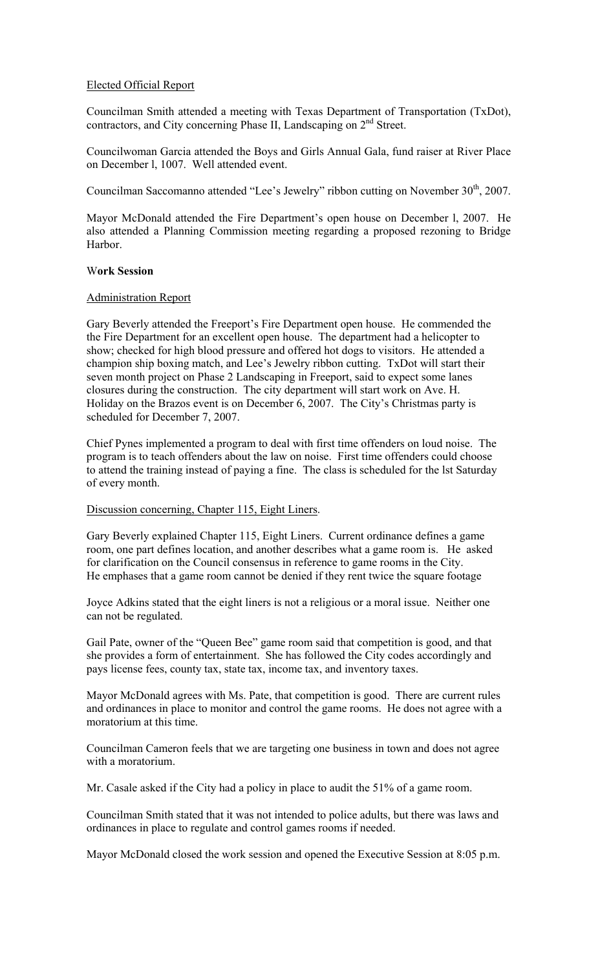## Elected Official Report

Councilman Smith attended a meeting with Texas Department of Transportation (TxDot), contractors, and City concerning Phase II, Landscaping on  $2<sup>nd</sup>$  Street.

Councilwoman Garcia attended the Boys and Girls Annual Gala, fund raiser at River Place on December l, 1007. Well attended event.

Councilman Saccomanno attended "Lee's Jewelry" ribbon cutting on November 30<sup>th</sup>, 2007.

Mayor McDonald attended the Fire Department's open house on December l, 2007. He also attended a Planning Commission meeting regarding a proposed rezoning to Bridge Harbor.

## W**ork Session**

### Administration Report

Gary Beverly attended the Freeport's Fire Department open house. He commended the the Fire Department for an excellent open house. The department had a helicopter to show; checked for high blood pressure and offered hot dogs to visitors. He attended a champion ship boxing match, and Lee's Jewelry ribbon cutting. TxDot will start their seven month project on Phase 2 Landscaping in Freeport, said to expect some lanes closures during the construction. The city department will start work on Ave. H. Holiday on the Brazos event is on December 6, 2007. The City's Christmas party is scheduled for December 7, 2007.

Chief Pynes implemented a program to deal with first time offenders on loud noise. The program is to teach offenders about the law on noise. First time offenders could choose to attend the training instead of paying a fine. The class is scheduled for the lst Saturday of every month.

### Discussion concerning, Chapter 115, Eight Liners.

Gary Beverly explained Chapter 115, Eight Liners. Current ordinance defines a game room, one part defines location, and another describes what a game room is. He asked for clarification on the Council consensus in reference to game rooms in the City. He emphases that a game room cannot be denied if they rent twice the square footage

Joyce Adkins stated that the eight liners is not a religious or a moral issue. Neither one can not be regulated.

Gail Pate, owner of the "Queen Bee" game room said that competition is good, and that she provides a form of entertainment. She has followed the City codes accordingly and pays license fees, county tax, state tax, income tax, and inventory taxes.

Mayor McDonald agrees with Ms. Pate, that competition is good. There are current rules and ordinances in place to monitor and control the game rooms. He does not agree with a moratorium at this time.

Councilman Cameron feels that we are targeting one business in town and does not agree with a moratorium.

Mr. Casale asked if the City had a policy in place to audit the 51% of a game room.

Councilman Smith stated that it was not intended to police adults, but there was laws and ordinances in place to regulate and control games rooms if needed.

Mayor McDonald closed the work session and opened the Executive Session at 8:05 p.m.